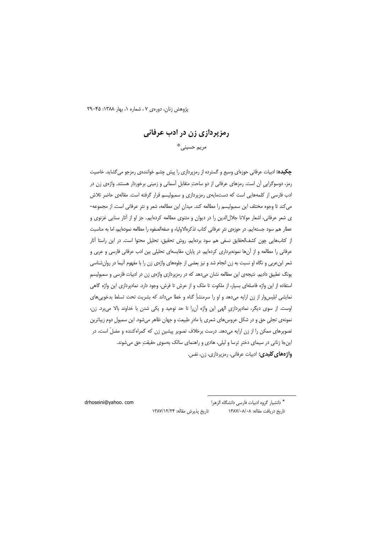پژوهش زنان، دورهی ۷، شماره ۱، بهار ۱۳۸۸: ۴۵-۲۹

# رمزپردازی زن در ادب عرفانی مريم حسيني\*

**چکیده:** ادبیات عرفانی حوزهای وسیع و گسترده از رمزپردازی را پیش چشم خوانندهی رمزجو میگشاید. خاصیت رمز، دوسوگرایی آن است. رمزهای عرفانی از دو ساحت متقابل آسمانی و زمینی برخوردار هستند. واژهی زن در ادب فارسی از کلمههایی است که دستمایهی رمزپردازی و سمبولیسم قرار گرفته است. مقالهی حاضر تلاش می کند تا وجوه مختلف این سمبولیسم را مطالعه کند. میدان این مطالعه، شعر و نثر عرفانی است. از مجموعه-ی شعر عرفانی، اشعار مولانا جلالالدین را در دیوان و مثنوی مطالعه کردهایم. جز او از آثار سنایی غزنوی و عطار هم سود جسته|یم. در حوزهی نثر عرفانی کتاب تذکرهالاولیاء و صفهالصفوه را مطالعه نموده|یم، اما به مناسبت از کتابهایی چون کشفالحقایق نسفی هم سود بردهایم. روش تحقیق، تحلیل محتوا است. در این راستا آثار عرفانی را مطالعه و از آنها نمونهبرداری کردهایم. در پایان، مقایسهای تحلیلی بین ادب عرفانی فارسی و عربی و شعر ابنءربی و نگاه او نسبت به زن انجام شد و نیز بعضی از جلوههای واژهی زن را با مفهوم آنیما در روانشناسی یونگ تطبیق دادیم. نتیجهی این مطالعه نشان میدهد که در رمزپردازی واژهی زن در ادبیات فارسی و سمبولیسم استفاده از این واژه فاصلهای بسیار، از ملکوت تا ملک و از عرش تا فرش، وجود دارد. نمادپردازی این واژه گاهی نمایشی ابلیسوار از زن ارایه میدهد و او را سرمنشأِ گناه و خطا میداند که بشریت تحت تسلط بدخوییهای اوست. از سوی دیگر، نمادپردازی الهی این واژه آن را تا حد توحید و یکی شدن با خداوند بالا می برد. زن، نمونهي تجلي حق و در شكل عروسهاي شعري يا مادرٍ طبيعت و جهان ظاهر ميشود. اين سمبولِ دوم زيباترين تصویرهای ممکن را از زن ارایه میدهد. درست برخلاف تصویر پیشین زن که گمراهکننده و مضلّ است، در اینجا زنانی در سیمای دختر ترسا و لیلی، هادی و راهنمای سالک بهسوی حقیقتِ حق میشوند. واژههای کلیدی: ادبیات عرفانی، رمزپردازی، زن، نفس.

\* دانشیار گروه ادبیات فارسی دانشگاه الزهرا

تاریخ دریافت مقاله: ۱۳۸۷/۰۸/۰۸

drhoseini@vahoo, com

تاريخ پذيرش مقاله: ١٣٨٧/١٢/٢۴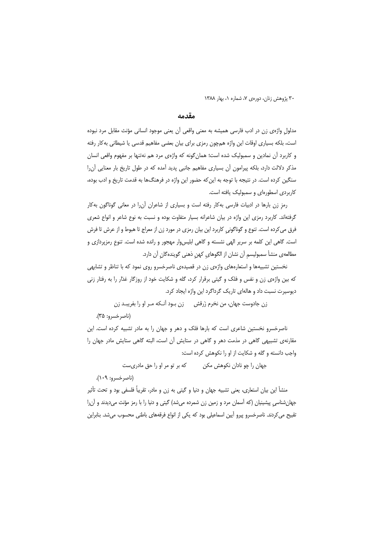#### مقدمه

مدلول واژهى زن در ادب فارسى هميشه به معنى واقعى آن يعنى موجود انسانى مؤنث مقابل مرد نبوده است، بلکه بسیاری اوقات این واژه همچون رمزی برای بیان بعضی مفاهیم قدسی یا شیطانی بهکار رفته و کاربرد آن نمادین و سمبولیک شده است؛ همان گونه که واژهی مرد هم نهتنها بر مفهوم واقعی انسان مذکر دلالت دارد، بلکه پیرامون آن بسیاری مفاهیم جانبی پدید آمده که در طول تاریخ بار معنایی آن را سنگین کرده است. در نتیجه با توجه به این که حضور این واژه در فرهنگها به قدمت تاریخ و ادب بوده، کاربردی اسطورهای و سمبولیک یافته است.

رمز زن بارها در ادبیات فارسی بهکار رفته است و بسیاری از شاعران آن را در معانی گوناگون بهکار گرفتهاند. کاربرد رمزی این واژه در بیان شاعرانه بسیار متفاوت بوده و نسبت به نوع شاعر و انواع شعری فرق میکرده است. تنوع و گوناگونی کاربرد این بیان رمزی در مورد زن از معراج تا هبوط و از عرش تا فرش است. گاهی این کلمه بر سریر الهی نشسته و گاهی ابلیسوار مهجور و رانده شده است. تنوع رمزپردازی و مطالعهی منشأ سمبولیسم آن نشان از الگوهای کهن ذهنی گویندهگان آن دارد.

نخستین تشبیهها و استعارههای واژهی زن در قصیدهی ناصرخسرو روی نمود که با تناظر و تشابهی که بین واژهی زن و نفس و فلک و گیتی برقرار کرد، گله و شکایت خود از روزگار غذار را به رفتار زنی دیوسیرت نسبت داد و هالهای تاریک گرداگرد این واژه ایجاد کرد.

زن جادوست جهان، من نخرم زَرقش بی زن پیود آنیکه میر او را بفریبید زن (ناصر خسرو: ۳۵).

ناصرخسرو نخستین شاعری است که بارها فلک و دهر و جهان را به مادر تشبیه کرده است. این مقارنهی تشبیهی گاهی در مذمت دهر و گاهی در ستایش آن است، البته گاهی ستایش مادر جهان را واجب دانسته و گله و شکایت از او را نکوهش کرده است:

جهان را چو نادان نکوهش مکن مسمل که بر تو مر او را حق مادریست

(ناصر خسرو: ۱۰۹).

منشأ این بیان استعاری، یعنی تشبیه جهان و دنیا و گیتی به زن و مادر، تقریباً فلسفی بود و تحت تأثیر جهانشناسی پیشینیان (که آسمان مرد و زمین زن شمرده میشد) گیتی و دنیا را با رمز مؤنث میدیدند و آن را تقبیح می کردند. ناصرخسرو پیرو آیین اسماعیلی بود که یکی از انواع فرقههای باطنی محسوب می شد. بنابراین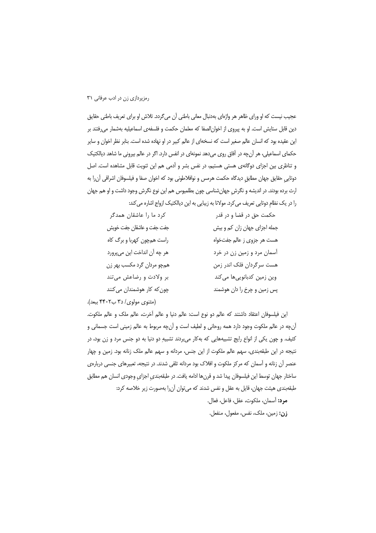عجیب نیست که او ورای ظاهر هر واژهای بهدنبال معانی باطنی آن میگردد. تلاش او برای تعریف باطنی حقایق دین قابل ستایش است. او به پیروی از اخوانالصفا که معلمان حکمت و فلسفهی اسماعیلیه بهشمار می فتند بر این عقیده بود که انسان عالم صغیر است که نسخهای از عالم کبیر در او نهاده شده است. بنابر نظر اخوان و سایر حکمای اسماعیلی، هر آنچه در آفاق روی میدهد نمونهای در انفس دارد. اگر در عالم بیرونی ما شاهد دیالکتیک و تناظری بین اجزای دوگانهی هستی هستیم، در نفس بشر و آدمی هم این ثنویت قابل مشاهده است. اصل دوتایی حقایق جهان مطابق دیدگاه حکمت هرمس و نوافلاطونی بود که اخوان صفا و فیلسوفان اشراقی آن را به ارث برده بودند. در اندیشه و نگرش جهانشناسی چون بطلمیوس هم این نوع نگرش وجود داشت و او هم جهان را در یک نظام دوتایی تعریف می کرد. مولانا به زیبایی به این دیالکتیک ازواج اشاره می کند:

| کرد ما را عاشقان همدگر      | حکمت حق در قضا و در قدر      |
|-----------------------------|------------------------------|
| جفت جفت و عاشقان جفت خويش   | جمله اجزای جهان زان کم و بیش |
| راست همچون کهربا و برگ کاه  | هست هر جزوى ز عالم جفتخواه   |
| هر چه آن انداخت این میپرورد | أسمان مرد و زمین زن در خرد   |
| همچو مردان گرد مکسب بهر زن  | هست سرگردان فلک اندر زمن     |
| بر ولادت و رضاعش میتند      | وین زمین کدبانوییها میکند    |
| چون که کار هوشمندان می کنند | پس زمین و چرخ را دان هوشمند  |
|                             |                              |

(مثنوي مولوي/ ٣٥ ب٣٠٢ ببعد).

این فیلسوفان اعتقاد داشتند که عالم دو نوع است: عالم دنیا و عالم آخرت، عالم ملک و عالم ملکوت. آنچه در عالم ملکوت وجود دارد همه روحانی و لطیف است و آنچه مربوط به عالم زمینی است جسمانی و کثیف. و چون یکی از انواع رایج تشبیههایی که بهکار می بردند تشبیهِ دو دنیا به دو جنس مرد و زن بود، در نتیجه در این طبقهبندی، سهم عالم ملکوت از این جنس، مردانه و سهم عالم ملک زنانه بود. زمین و چهار عنصر أن زنانه و أسمان كه مركز ملكوت و افلاک بود مردانه تلقى شدند. در نتيجه، تعييرهاى جنسى دربارهى ساختار جهان توسط این فیلسوفان پیدا شد و قرنها ادامه یافت. در طبقهبندی اجزای وجودی انسان هم مطابق طبقهبندي هيئت جهان، قايل به عقل و نفس شدند كه مي توان آن را بهصورت زير خلاصه كرد: مرد: أسمان، ملكوت، عقل، فاعل، فعال. زن: زمین، ملک، نفس، مفعول، منفعل.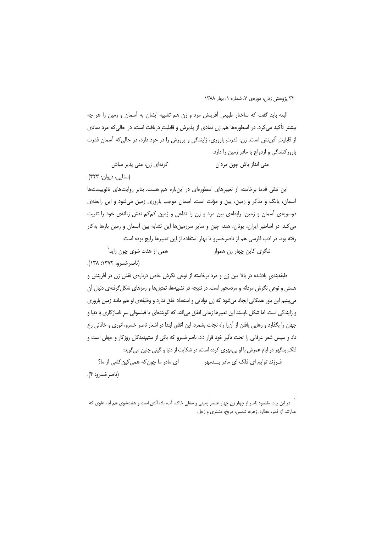البته باید گفت که ساختار طبیعی أفرینش مرد و زن هم تشبیه ایشان به أسمان و زمین را هر چه بیشتر تأکید می کرد. در اسطورهها هم زن نمادی از پذیرش و قابلیت دریافت است، در حالی که مرد نمادی از قابلیتِ آفرینش است. زن، قدرتِ باروری، زایندگی و پرورش را در خود دارد، در حالی که آسمان قدرت بارور کنندگی و ازدواج با مادر زمین را دارد.

گرنهای زن، منی پذیر مباش منی انداز باش چون مردان (سنایی، دیوان: ٣٢٣).

این تلقی قدما برخاسته از تعبیرهای اسطورهای در اینباره هم هست. بنابر روایتهای تائوییستها آسمان، یانگ و مذکر و زمین، پین و مؤنث است. آسمان موجب باروری زمین میشود و این رابطهی دوسویهی آسمان و زمین، رابطهی بین مرد و زن را تداعی و زمین کمکم نقش زنانهی خود را تثبیت می کند. در اساطیر ایران، یونان، هند، چین و سایر سرزمینها این تشابه بین آسمان و زمین بارها به کار رفته بود. در ادب فارسی هم از ناصرخسرو تا بهار استفاده از این تعبیرها رایج بوده است:

همی از هفت شوی چون زاید<sup>۱</sup> ننگری کاین چهار زن هموار (ناصرخسرو، ١٣٧٢: ١٣٨).

طبقهبندی یادشده در بالا بین زن و مرد برخاسته از نوعی نگرش خاص دربارهی نقش زن در آفرینش و هستی و نوعی نگرش مردانه و مردمحور است. در نتیجه در تشبیهها، تمثیل ها و رمزهای شکل گرفتهی دنبال آن می بینیم این باور همگانی ایجاد میشود که زن توانایی و استعداد خلق ندارد و وظیفهی او هم مانند زمین باروری و زایندگی است. اما شکل ناپسند این تعبیرها زمانی اتفاق می|فتد که گویندهای یا فیلسوفی سر ناسازگاری با دنیا و جهان را بگذارد و رهایی یافتن از آنرا راه نجات بشمرد. این اتفاق ابتدا در اشعار ناصر خسرو، انوری و خاقانی رخ داد و سپس شعر عرفانی را تحت تأثیر خود قرار داد. ناصرخسرو که یکی از ستمدیدگان روزگار و جهان است و فلک بدگهر در ایام عمرش با او بی مهری کرده است، در شکایت از دنیا و گیتی چنین می گوید:

ا*ی* مادر ما چون که همی کین کشی از ما؟ فـرزند توایم ای فلک ای مادر بـــدمهر (ناصر خسرو: ۴).

<sup>.&</sup>lt;br>`. در این بیت مقصود ناصر از چهار زن چهار عنصر زمینی و سفلی خاک، آب، باد، آتش است و هفتشوی هم آباء علوی که عبارتند از: قمر، عطارد، زهره، شمس، مریخ، مشتری و زحل.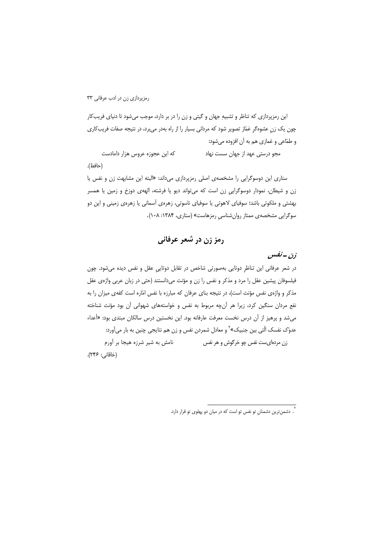این رمزپردازی که تناظر و تشبیه جهان و گیتی و زن را در بر دارد، موجب می شود تا دنیای فریب کار چون یک زن عشوهگر غمّاز تصویر شود که مردانی بسیار را از راه بهدر می برد، در نتیجه صفات فریبکاری و طمّاعي و غمازي هم به آن افزوده ميشود:

مجو درستی عهد از جهان سست نهاد که این عجوزه عروس هزار دامادست (حافظ).

ستاری این دوسوگرایی را مشخصهی اصلی رمزیردازی می داند: «البته این مشابهت زن و نفس یا زن و شیطان، نمودار دوسوگرایی زن است که می¤واند دیو یا فرشته، الههی دوزخ و زمین یا همسر بهشتی و ملکوتی باشد؛ سوفیای لاهوتی یا سوفیای ناسوتی، زهرهی آسمانی یا زهرهی زمینی و این دو سوگرایی مشخصهی ممتاز روان شناسی رمزهاست» (ستاری، ۱۳۸۴: ۱۰۸).

رمز زن در شعر عرفانی

زن -نفس

در شعر عرفانی این تناظر دوتایی بهصورتی شاخص در تقابل دوتایی عقل و نفس دیده میشود. چون فیلسوفان پیشین عقل را مرد و مذکر و نفس را زن و مؤنث میدانستند (حتی در زبان عربی واژهی عقل مذکر و واژهی نفس مؤنث است)، در نتیجه بنای عرفان که مبارزه با نفس امّاره است کفهی میزان را به نفع مردان سنگین کرد، زیرا هر آنچه مربوط به نفس و خواستههای شهوانی آن بود مؤنث شناخته می شد و پرهیز از آن درس نخست معرفت عارفانه بود. این نخستین درس سالکان مبتدی بود: «أعداء عدوّک نفسک الّتی بین جنبیک»<sup>۲</sup> و معادل شمردن نفس و زن هم نتایجی چنین به بار می آورد: نامش به شیر شرزه هیجا بر آورم زن مردها*ی*ست نفس چو خرگوش و هر نفس (خاقانی: ۲۴۶).

`. دشمن ّترین دشمنان تو نفس تو است که در میان دو پهلوی تو قرار دارد.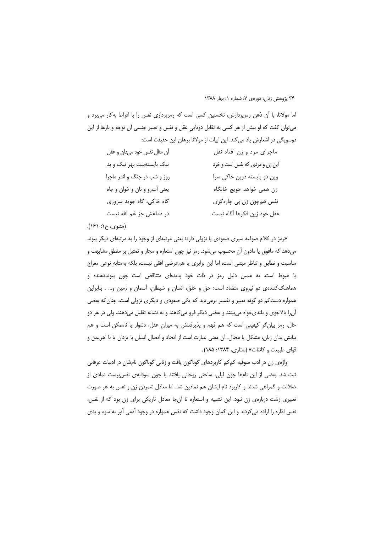اما مولانا، با آن ذهن رمزپردازش، نخستین کسی است که رمزپردازی نفس را با افراط بهکار میبرد و میتوان گفت که او بیش از هر کسی به تقابل دوتایی عقل و نفس و تعبیر جنسی آن توجه و بارها از این دوسویگی در اشعارش یاد می کند. این ابیات از مولانا برهان این حقیقت است:

| أن مثال نفس خود ميدان و عقل   | ماجرای مرد و زن افتاد نقل      |
|-------------------------------|--------------------------------|
| نیک بایستهست بهر نیک و بد     | این زن و مردی که نفس است و خرد |
| روز و شب در جنگ و اندر ماجرا  | وین دو بایسته درین خاکی سرا    |
| يعني أب رو و نان و خوان و جاه | زن همي خواهد حويج خانگاه       |
| گاه خاکی، گاه جوید سروری      | نفس همچون زن پی چارهگری        |
| در دماغش جز غم الله نیست      | عقل خود زين فكرها أگاه نيست    |

#### (مثنوي، ج۱: ۱۶۱).

«رمز در کلام صوفیه سیری صعودی یا نزولی دارد؛ یعنی مرتبهای از وجود را به مرتبهای دیگر پیوند میدهد که مافوق یا مادون آن محسوب میشود. رمز نیز چون استعاره و مجاز و تمثیل بر منطق مشابهت و مناسبت و تطابق و تناظر مبتنی است، اما این برابری یا همءرضی افقی نیست، بلکه بهمثابهِ نوعی معراج یا هبوط است. به همین دلیل رمز در ذات خود پدیدهای متناقض است چون پیونددهنده و هماهنگ کنندهی دو نیروی متضاد است: حق و خلق، انسان و شیطان، آسمان و زمین و… . بنابراین همواره دست کم دو گونه تعبیر و تفسیر برمیتابد که یکی صعودی و دیگری نزولی است، چنان که بعضی آنرا بالاجوی و بلندیخواه میبینند و بعضی دیگر فرو میکاهند و به نشانه تقلیل میدهند. ولی در هر دو حال، رمز بیان گر کیفیتی است که هم فهم و پذیرفتنش به میزان عقل، دشوار یا ناممکن است و هم بيانش بدان زبان، مشكل يا محال. أن معنى عبارت است از اتحاد و اتصال انسان با يزدان يا با اهريمن و قوای طبیعت و کائنات» (ستاری، ۱۳۸۴: ۱۸۵).

واژهی زن در ادب صوفیه کمکم کاربردهای گوناگون یافت و زنانی گوناگون نامشان در ادبیات عرفانی ثبت شد. بعضی از این نامها چون لیلی، ساحتی روحانی یافتند یا چون سودابهی نفسپرست نمادی از ضلالت و گمراهی شدند و کاربرد نام ایشان هم نمادین شد. اما معادل شمردن زن و نفس به هر صورت تعبیری زشت دربارهی زن نبود. این تشبیه و استعاره تا آنجا معادل تاریکی برای زن بود که از نفس، نفس امّاره را اراده می کردند و این گمان وجود داشت که نفس همواره در وجود آدمی آمِر به سوء و بدی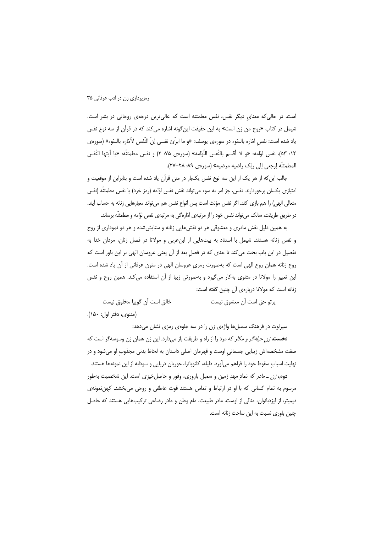است. در حالی که معنای دیگر نفس، نفس مطمئنه است که عالی ترین درجهی روحانی در بشر است. شیمل در کتاب «روح من زن است» به این حقیقت این گونه اشاره می کند که در قرآن از سه نوع نفس ياد شده است: نفس امّاره بالسّوء در سورهي يوسف: «و ما ابرّيَّ نفسي إنّ النّفس لأمّاره بالسّوء» (سورهي ١٢: ٥٣)، نفس لوّامه: «و لا أقسم بالنّفس اللّوّامه» (سورەي ٧۵: ٢) و نفس مطمئنّه: «يا أيتها النّفس المطمئنَّه إرجعي إلى ربِّك راضيه مرضيه» (سورهي ٨٩- ٢٧-٢٧).

جالب این که از هر یک از این سه نوع نفس یکبار در متن قرآن یاد شده است و بنابراین از موقعیت و امتيازي يكسان برخوردارند. نفس، جز امر به سوء مي تواند نقش نفس لوّامه (رمز خرد) يا نفس مطمئنّه (نفس متعالی الهی) را هم بازی کند. اگر نفس مؤنث است پس انواع نفس هم می تواند معیارهایی زنانه به حساب آیند. در طریق طریقت، سالک میتواند نفس خود را از مرتبهی امّارهگی به مرتبهی نفس لوّامه و مطمئنّه برساند.

به همین دلیل نقش مادری و معشوقی هر دو نقشهایی زنانه و ستایش شده و هر دو نموداری از روح و نفس زنانه هستند. شیمل با استناد به بیتهایی از ابن عربی و مولانا در فصل زنان، مردان خدا به تفصیل در این باب بحث می کند تا حدی که در فصل بعد از آن یعنی عروسان الهی بر این باور است که روح زنانه همان روح الهي است كه بهصورت رمزي عروسان الهي در متون عرفاني از أن ياد شده است. این تعبیر را مولانا در مثنوی به کار میگیرد و بهصورتی زیبا از آن استفاده می کند. همین روح و نفس زنانه است که مولانا دربارهی آن چنین گفته است:

خالق است آن گوییا مخلوق نیست

يرتو حق است آن معشوق نيست

(مثنوى، دفتر اول: ١۵٠).

سیرلوت در فرهنگ سمبلها واژهی زن را در سه جلوهی رمزی نشان میدهد:

نخس*ته زن حیله گر و مکار* که مرد را از راه و طریقت باز میدارد. این زن همان زن وسوسه گر است که صفت مشخصهاش زیبایی جسمانی اوست و قهرمان اصلی داستان به لحاظ بدنی مجذوب او میشود و در نهایت اسباب سقوط خود را فراهم می آورد. دلیله، کلئوپاترا، حوریان دریایی و سودابه از این نمونهها هستند.

دوم، *زن ـ مادر* كه نمادِ مهدِ زمين و سمبل بارورى، وفور و حاصلِ خيزى است. اين شخصيت بهطور مرسوم به تمام کسانی که با او در ارتباط و تماس هستند قوت عاطفی و روحی می بخشد. کهن نمونهی دیمیتر، از ایزدبانوان، مثالی از اوست. مادر طبیعت، مام وطن و مادر رضاعی ترکیبهایی هستند که حاصل چنین باوری نسبت به این ساحت زنانه است.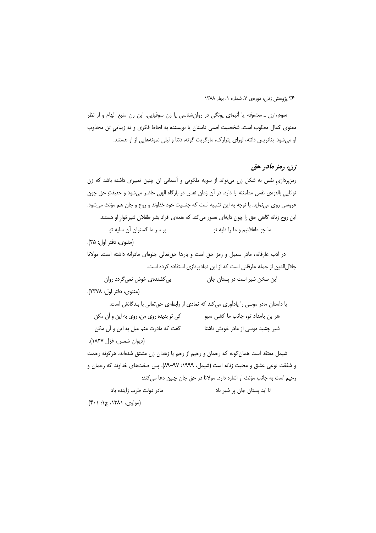**سوم،** *زن ـ معشوقه* یا آنیمای یونگی در روانِشناسی یا زن سوفیایی. این زن منبع الهام و از نظر معنوی کمال مطلوب است. شخصیت اصلی داستان یا نویسنده به لحاظ فکری و نه زیبایی تن مجذوب او می شود. بئاتریس دانته، لورای پترارک، مارگریت گوته، دئنا و لیلی نمونههایی از او هستند.

## زن، رمز مادر حق

رمزپردازیِ نفس به شکل زن میتواند از سویه ملکوتی و آسمانی آن چنین تعبیری داشته باشد که زن توانایی بالقوهی نفس مطمئنه را دارد. در آن زمان نفس در بارگاه الهی حاضر میشود و حقیقتِ حق چون عروسی روی مینماید. با توجه به این تشبیه است که جنسیت خود خداوند و روح و جان هم مؤنث میشود. این روح زنانه گاهی حق را چون دایهای تصور می کند که همهی افراد بشر طفلان شیرخوار او هستند. بر سر ما گستران آن سایه تو ما چو طفلانيم و ما را دايه تو

(مثنوي، دفتر اول: ۳۵).

در ادب عارفانه، مادر سمبل و رمز حق است و بارها حق تعالى جلوهاى مادرانه داشته است. مولانا جلال الدین از جمله عارفانی است که از این نمادیردازی استفاده کرده است.

بی کشندهی خوش نمی گردد روان این سخن شیر است در پستان جان

(مثنوي، دفتر اول: ٢٣٧٨).

یا داستان مادر موسی را یادآوری میکند که نمادی از رابطهی حق تعالی با بندگانش است. کې تو بديده روي من، روي به اين و آن مکن هر بن بامداد تو، جانب ما کشی سبو گفت كه مادرت منم ميل به اين و آن مكن شیر چشید موسی از مادر خویش ناشتا (ديوان شمس، غزل ١٨٢٧).

شیمل معتقد است همان گونه که رحمان و رحیم از رحم یا زهدان زن مشتق شدهاند، هرگونه رحمت و شفقت نوعی عشق و محبت زنانه است (شیمل، ۹۹۹۹: ۹۷–۸۹). پس صفتهای خداوند که رحمان و رحيم است به جانب مؤنث او اشاره دارد. مولانا در حق جان چنين دعا مي كند:

مادر دولت طرب زاینده باد تا ابد پستان جان پر شیر باد

(مولوی، ۱۳۸۱، ج۱: ۴۰۱).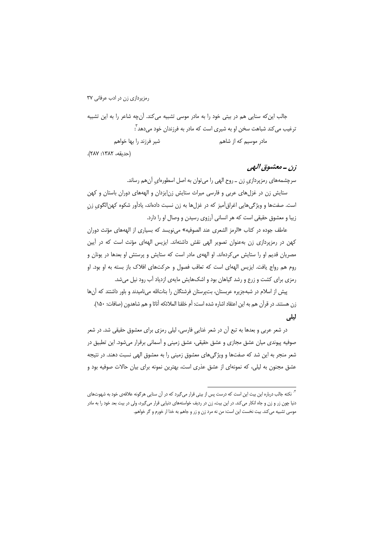جالب این که سنایی هم در بیتی خود را به مادر موسی تشبیه می کند. آنچه شاعر را به این تشبیه ترغیب می کند شباهت سخن او به شیری است که مادر به فرزندان خود می دهد ؓ: شیر فرزند را بها خواهم مادر موسیم که از شاهم

(حديقه، ١٣٨٢: ٢٨٧).

## زن ــ معشوق البهي

سرچشمههای رمزپردازی زن ـ روح الهی را میتوان به اصل اسطورهای آنهم رساند.

ستایش زن در غزل های عربی و فارسی میراث ستایش زن ایزدان و الهههای دوران باستان و کهن است. صفتها و ویژگیهایی اغراق آمیز که در غزلها به زن نسبت دادهاند، یادآور شکوه کهن|لگوی زن زیبا و معشوق حقیقی است که هر انسانی آرزوی رسیدن و وصال او را دارد.

عاطف جوده در كتاب «الرمز الشعرى عند الصوفيه» مى نويسد كه بسيارى از الهههاى مؤنث دوران کهن در رمزپردازی زن بهعنوان تصویر الهی نقش داشتهاند. ایزیس الههای مؤنث است که در آیین مصریان قدیم او را ستایش می کردهاند. او الههی مادر است که ستایش و پرستش او بعدها در یونان و روم هم رواج يافت. ايزيس الههاي است كه تعاقب فصول و حركتهاي افلاك باز بسته به او بود. او رمزی برای کشت و زرع و رشد گیاهان بود و اشکهایش مایهی ازدیاد آب رود نیل میشد.

پیش از اسلام در شبهجزیره عربستان، بتپرستان فرشتگان را بناتالله مینامیدند و باور داشتند که آنها زن هستند. در قرآن هم به این اعتقاد اشاره شده است: أم خلقنا الملائكه أناثا و هم شاهدون (صافات: ۱۵۰). ليلي

در شعر عربی و بعدها به تبع آن در شعر غنایی فارسی، لیلی رمزی برای معشوق حقیقی شد. در شعر صوفیه پیوندی میان عشق مجازی و عشق حقیقی، عشق زمینی و آسمانی برقرار میشود. این تطبیق در شعر منجر به این شد که صفتها و ویژگیهای معشوق زمینی را به معشوق الهی نسبت دهند. در نتیجه عشق مجنون به لیلی، که نمونهای از عشق عذری است، بهترین نمونه برای بیان حالات صوفیه بود و

<sup>&</sup>lt;sup>۳.</sup> نکته جالب درباره این بیت این است که درست پس از بیتی قرار میگیرد که در آن سنایی هرگونه علاقهی خود به شهوتهای دنیا چون زر و زن و جاه انکار میکند. در این بیت، زن در ردیف خواستههای دنیایی قرار میگیرد، ولی در بیت بعد خود را به مادر موسی تشبیه میکند. بیت نخست این است: من نه مرد زن و زر و جاهم به خدا ار خورم و گر خواهم.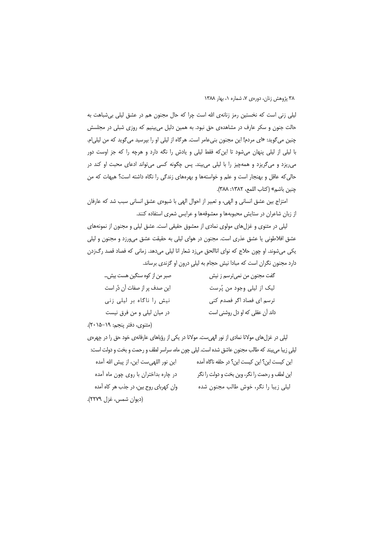لیلی زنی است که نخستین رمز زنانهی الله است چرا که حال مجنون هم در عشق لیلی بی شباهت به حالت جنون و سکر عارف در مشاهدهی حق نبود. به همین دلیل میبینیم که روزی شبلی در مجلسش چنین میگوید: «ای مردم! این مجنون بنیعامر است. هرگاه از لیلی او را بپرسید میگوید که من لیلی|م. با لیلی از لیلی پنهان میشود تا این که فقط لیلی و یادش را نگه دارد و هرچه را که جز اوست دور میریزد و میگریزد و همهچیز را با لیلی میبیند. پس چگونه کسی میتواند ادعای محبت او کند در حالی که عاقل و بهنجار است و علم و خواستهها و بهرههای زندگی را نگاه داشته است؟ هیهات که من چنين باشم» (كتاب اللمع، ١٣٨٢: ٣٨٨).

امتزاج بین عشق انسانی و الهی، و تعبیر از احوال الهی با شیوهی عشق انسانی سبب شد که عارفان از زبان شاعران در ستایش محبوبهها و معشوقهها و عرایس شعری استفاده کنند.

لیلی در مثنوی و غزل های مولوی نمادی از معشوق حقیقی است. عشق لیلی و مجنون از نمونههای عشق افلاطونی یا عشق عذری است. مجنون در هوای لیلی به حقیقت عشق می ورزد و مجنون و لیلی یکی میشوند. او چون حلاج که نوای اناالحق میزد شعار انا لیلی میدهد. زمانی که فصاد قصد رگزدن دارد مجنون نگران است که مبادا نیش حجام به لیلی درون او گزندی برساند.

| گفت مجنون من نمیترسم ز نیش      | صبر من از کوه سنگین هست بیش…  |
|---------------------------------|-------------------------------|
| لیک از لیلی وجود من پُرست       | این صدف پر از صفات آن دُر است |
| ترسم ای فصاد اگر فصدم کنی       | نیش را ناگاه بر لیلی زنی      |
| داند آن عقلی که او دل روشنی است | در میان لیلی و من فرق نیست    |
|                                 |                               |

(مثنوى، دفتر پنجم: ١٩–٢٥-٢٠).

لیلی در غزلهای مولانا نمادی از نور الهیست. مولانا در یکی از رؤیاهای عارفانهی خود حق را در چهرهی لیلی زیبا میبیند که طالب مجنون عاشق شده است. لیلی چون ماه، سراسر لطف و رحمت و بخت و دولت است: این نور اللهی ست این، از پیش الله آمده این کیست این؟ این کیست این؟ در حلقه ناگاه آمده در چاره بداختران با روی چون ماه آمده این لطف و رحمت را نگر، وین بخت و دولت را نگر وان کهربای روح بین، در جذب هر کاه آمده لیلی زیبا را نگر، خوش طالب مجنون شده

<sup>(</sup>دیوان شمس، غزل ۲۲۷۹).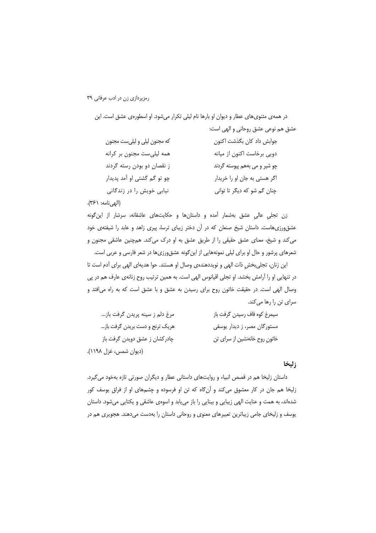| در همهی مثنویهای عطار و دیوان او بارها نام لیلی تکرار میشود. او اسطورهی عشق است. این |                                    |
|--------------------------------------------------------------------------------------|------------------------------------|
|                                                                                      | عشق هم نوعي عشق روحاني و الهي است: |
| که مجنون لیلی و لیلیست مجنون                                                         | جوابش داد كان بگذشت اكنون          |
| همه لیلی ست مجنون بر کرانه                                                           | دویی برخاست اکنون از میانه         |
| ز نقصان دو بودن رسته گردند                                                           | چو شیر و می بههم پیوسته گردند      |
| چو تو گم گشتی او آمد پدیدار                                                          | اگر هستی به جان او را خریدار       |
| نیابی خویش را در زندگانی                                                             | چنان گم شو که دیگر تا توانی        |

(الهي نامه: ٣۶١).

زن تجلی عالی عشق بهشمار آمده و داستانها و حکایتهای عاشقانه، سرشار از این گونه عشق ورزی هاست. داستان شیخ صنعان که در آن دختر زیبای ترسا، پیری زاهد و عابد را شیفتهی خود می کند و شیخ، معنای عشق حقیقی را از طریق عشق به او درک می کند. همچنین عاشقی مجنون و شعرهای پرشور و حال او برای لیلی نمونههایی از اینگونه عشق1ورزیها در شعر فارسی و عربی است.

این زنان، تجلی،خشِ ذات الهی و نویددهندهی وصال او هستند. حوا هدیهای الهی برای أدم است تا در تنهایی او را آرامش بخشد. او تجلی اقیانوس الهی است. به همین ترتیب روح زنانهی عارف هم در پی وصال الهی است. در حقیقت خاتون روح برای رسیدن به عشق و با عشق است که به راه میافتد و سرای تن را رها میکند.

| مرغ دلم ز سینه پریدن گرفت باز   | سيمرغ كوه قاف رسيدن گرفت باز   |
|---------------------------------|--------------------------------|
| هریک ترنج و دست بریدن گرفت باز… | مستورگان مصر، ز دیدار یوسفی    |
| چادرکشان ز عشق دویدن گرفت باز   | خاتونِ روح خانەنشین از سرای تن |
| (دیوان شمس، غزل ۱۱۹۸).          |                                |

### زليخا

داستان زلیخا هم در قصص انبیاء و روایتهای داستانی عطار و دیگران صورتی تازه بهخود می گیرد. زلیخا هم جان در کار معشوق میکند و آنگاه که تن او فرسوده و چشمهای او از فراق یوسف کور شدهاند، به همت و عنایت الهی زیبایی و بینایی را باز می یابد و اسوهی عاشقی و یکتایی میشود. داستان یوسف و زلیخای جامی زیباترین تعبیرهای معنوی و روحانی داستان را بهدست میدهند. هجویری هم در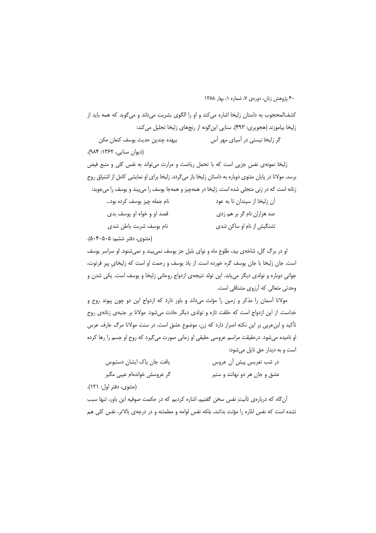کشف|لمحجوب به داستان زلیخا اشاره می کند و او را الگوی بشریت میداند و می گوید که همه باید از زلیخا بیاموزند (هجویری: ۴۹۳). سنایی این گونه از رنجهای زلیخا تجلیل می کند: گر زلیخا نیستی در آسیای مهر آس بيهده چندين حديث يوسف كنعان مكن (دیوان سنایی، ۱۳۶۲: ۹۸۴).

زلیخا نمونهی نفس جزیی است که با تحمل ریاضت و مرارت می تواند به نفس کلی و منبع فیض برسد. مولانا در پایان مثنوی دوباره به داستان زلیخا باز می گردد. زلیخا برای او نمایشی کامل از اشتیاق روح زنانه است که در زنی متجلی شده است. زلیخا در همهچیز و همهجا یوسف را میبیند و یوسف را میجوید:

| نام جمله چیز یوسف کرده بود | آن زلیخا از سپندان تا به عود |
|----------------------------|------------------------------|
| قصد او و خواه او يوسف بدى  | صد هزاران نام گر بر هم زدي   |
| نام يوسف شربت باطن شدى     | تشنگیش از نام او ساکن شدی    |

(مثنوى، دفتر ششم: ۵۰۵–۵۰۴).

او در برگ گل، شاخهی بید، طلوع ماه و نوای بلبل جز یوسف نمیبیند و نمی شنود. او سراسر یوسف است. جان زلیخا با جان یوسف گره خورده است. از یاد یوسف و رحمت او است که زلیخای پیر فرتوت، جوانی دوباره و تولدی دیگر می بابد. این تولد نتیجهی ازدواج روحانی زلیخا و یوسف است. یکی شدن و وحدتی متعالی که آرزوی مشتاقی است.

مولانا آسمان را مذکر و زمین را مؤنث میداند و باور دارد که ازدواج این دو چون پیوند روح و خداست. از این ازدواج است که خلقت تازه و تولدی دیگر حادث میشود. مولانا بر جنبهی زنانهی روح تأکید و ابنءربی بر این نکته اصرار دارد که زن، موضوع عشق است. در سنت مولانا مرگ عارف عرس او نامیده میشود. درحقیقت مراسم عروسی حقیقی او زمانی صورت میگیرد که روح او جسم را رها کرده است و به دیدار حق نایل می شود:

| یافت جان پاک ایشان دستبوس   | در شب تعریس پیش ان عروس       |
|-----------------------------|-------------------------------|
| گر عروسش خواندهام عیبی مگیر | عشق و جان هر دو نهانند و ستير |

(مثنوي، دفتر اول: ١٢١).

آن گاه که دربارهی تأنیثِ نفس سخن گفتیم، اشاره کردیم که در حکمت صوفیه این باور، تنها سبب نشده است که نفس امّاره را مؤنث بدانند، بلکه نفس لوامه و مطمئنه و در درجهی بالاتر، نفس کلی هم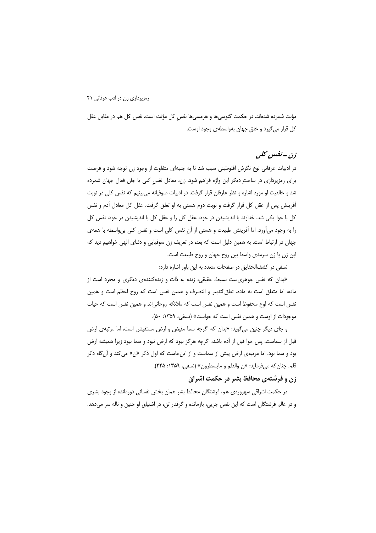مؤنث شمرده شدهاند. در حکمت گنوسی،ها و هرمسی،ها نفس کل مؤنث است. نفس کل هم در مقابل عقل کل قرار می *گ*یرد و خلق جهان بهواسطه یوجود اوست.

## زن -نفس کلی

در ادبیات عرفانی نوع نگرش افلوطینی سبب شد تا به جنبهای متفاوت از وجود زن توجه شود و فرصت برای رمزپردازی در ساحتِ دیگر این واژه فراهم شود. زن، معادل نفس کلی یا جان فعال جهان شمرده شد و خالقیت او مورد اشاره و نظر عارفان قرار گرفت. در ادبیات صوفیانه می بینیم که نفس کلی در نوبت آفرینش پس از عقل کل قرار گرفت و نوبت دوم هستی به او تعلق گرفت. عقل کل معادل آدم و نفس کل با حوا یکی شد. خداوند با اندیشیدن در خود، عقل کل را و عقل کل با اندیشیدن در خود، نفس کل را به وجود میآورد. اما آفرینش طبیعت و هستی از آن نفس کلی است و نفس کلی بی واسطه با همهی جهان در ارتباط است. به همین دلیل است که بعد، در تعریف زن سوفیایی و دئنای الهی خواهیم دید که این زن یا زن سرمدی واسط بین روح جهان و روح طبیعت است.

نسفی در کشف|لحقایق در صفحات متعدد به این باور اشاره دارد:

«بدان که نفس جوهریست بسیط، حقیقی، زنده به ذات و زندهکنندهی دیگری و مجرد است از ماده، اما متعلق است به ماده. تعلق|لتدبیر و التصرف و همین نفس است که روح اعظم است و همین نفس است که لوح محفوظ است و همین نفس است که ملائکه روحانی|ند و همین نفس است که حیات موجودات از اوست و همین نفس است که حواست» (نسفی، ۱۳۵۹: ۵۰).

و جای دیگر چنین میگوید: «بدان که اگرچه سما مفیض و ارض مستفیض است، اما مرتبهی ارض قبل از سماست. پس حوا قبل از آدم باشد، اگرچه هرگز نبود که ارض نبود و سما نبود زیرا همیشه ارض بود و سما بود. اما مرتبهی ارض پیش از سماست و از اینجاست که اول ذکر «ن» میکند و آنگاه ذکر قلم. چنان كه مىفرمايد: «ن والقلم و مايسطرون» (نسفى، ١٣٥٩: ٢٢۵).

### زن و فرشتهی محافظ بشر در حکمت اشراق

در حکمت اشراقی سهروردی هم، فرشتگان محافظ بشر همان بخش نفسانی دورمانده از وجود بشری و در عالم فرشتگان است كه اين نفس جزيي، بازمانده و گرفتار تن، در اشتياق او حنين و ناله سر مي دهد.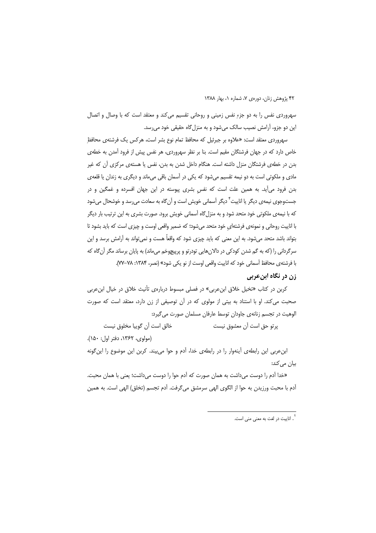سهروردی نفس را به دو جزءِ نفس زمینی و روحانی تقسیم می کند و معتقد است که با وصال و اتصال این دو جزو، آرامش نصیب سالک میشود و به منزل گاه حقیقی خود می رسد.

سهروردی معتقد است: «علاوه بر جبرئیل که محافظ تمام نوع بشر است، هرکس یک فرشتهی محافظ خاص دارد که در جهان فرشتگان مقیم است. بنا بر نظر سهروردی، هر نفس پیش از فرود آمدن به خطهی بدن در خطهی فرشتگان منزل داشته است. هنگام داخل شدن به بدن، نفس یا هستهی مرکزی آن که غیر مادی و ملکوتی است به دو نیمه تقسیم می شود که یکی در آسمان باقی می ماند و دیگری به زندان یا قلعهی بدن فرود میآید. به همین علت است که نفس بشری پیوسته در این جهان افسرده و غمگین و در جستوجوی نیمهی دیگر یا اناییت<sup>۴</sup> دیگر آسمانی خویش است و آن&اه به سعادت میرسد و خوشحال میشود که با نیمهی ملکوتی خود متحد شود و به منزل گاه آسمانی خویش برود. صورت بشری به این ترتیب بار دیگر با اناییت روحانی و نمونهی فرشتهای خود متحد می شود؛ که ضمیر واقعی اوست و چیزی است که باید بشود تا بتواند باشد متحد میشود. به این معنی که باید چیزی شود که واقعاً هست و نمیتواند به آرامش برسد و این سرگردانی را (که به گم شدن کودکی در دالانهایی تودرتو و پرپیچوخم می،اند) به پایان برساند مگر آن گاه که با فرشته ي محافظ آسماني خود كه اناييت واقعي اوست از نو يكي شود» (نصر، ۱۳۸۴: ۷۸–۷۷).

## زن در نگاه ابنعربی

کربن در کتاب «تخیل خلاق ابنءربی» در فصلی مبسوط دربارهی تأنیث خلاق در خیال ابنءربی صحبت می کند. او با استناد به بیتی از مولوی که در آن توصیفی از زن دارد، معتقد است که صورت الوهيت در تجسم زنانهي جاودان توسط عارفان مسلمان صورت مي گيرد:

خالق است آن گوییا مخلوق نیست يرتو حق است آن معشوق نيست

(مولوي، ١٣۶٢، دفتر اول: ١۵٠).

ابن عربی این رابطهی آینهوار را در رابطهی خدا، آدم و حوا می بیند. کربن این موضوع را این گونه بیان میکند:

«خدا آدم را دوست می داشت به همان صورت که آدم حوا را دوست می داشت؛ یعنی با همان محبت. أدم با محبت ورزيدن به حوا از الگوى الهى سرمشق مىگرفت. أدم تجسم (تخلق) الهى است. به همين

ء<br>\* . اناست در لغت به معنی منی است.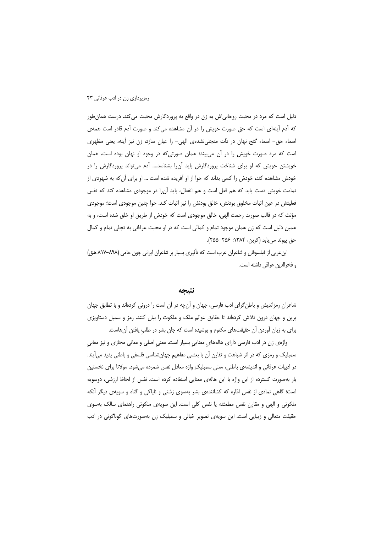دلیل است که مرد در محبت روحانی|ش به زن در واقع به پروردگارش محبت می کند. درست همان طور که آدم آینهای است که حق صورت خویش را در آن مشاهده می کند و صورت آدم قادر است همهی اسماء حق- اسماء گنج نهان در ذات متجلی نشدهی الهی- را عیان سازد، زن نیز أینه، یعنی مظهری است که مرد صورت خویش را در آن میبیند؛ همان صورتی که در وجود او نهان بوده است، همان خویشتن خویش که او برای شناخت پروردگارش باید آن را بشناسد.... آدم می تواند پروردگارش را در خودش مشاهده کند، خودش را کسی بداند که حوا از او آفریده شده است … او برای آن که به شهودی از تمامت خویش دست یابد که هم فعل است و هم انفعال، باید آن را در موجودی مشاهده کند که نفس فعلیتش در عین اثبات مخلوق بودنش، خالق بودنش را نیز اثبات کند. حوا چنین موجودی است؛ موجودی مؤنث كه در قالب صورت رحمت الهي، خالق موجودي است كه خودش از طريق او خلق شده است، و به همین دلیل است که زن همان موجود تمام و کمالی است که در او محبت عرفانی به تجلی تمام و کمال حق پیوند مییابد (کربن، ۱۳۸۴: ۲۵۶-۲۵۵).

ابن عربی از فیلسوفان و شاعران عرب است که تأثیری بسیار بر شاعران ایرانی چون جامی (۸۹۸–۸۱۷ ه.ق) و فخرالدین عراقی داشته است.

#### نتىحە

شاعران رمزاندیش و باطن گرای ادب فارسی، جهان و آنچه در آن است را درونی کردهاند و با تطابق جهان برین و جهان درون تلاش کردهاند تا حقایق عوالم ملک و ملکوت را بیان کنند. رمز و سمبل دستاویزی برای به زبان آوردن آن حقیقتهای مکتوم و پوشیده است که جان بشر در طلب یافتن آنهاست.

واژهی زن در ادب فارسی دارای هالههای معنایی بسیار است. معنی اصلی و معانی مجازی و نیز معانی سمبلیک و رمزی که در اثر شباهت و تقارن آن با بعضی مفاهیم جهانِشناسی فلسفی و باطنی پدید میآیند. در ادبیات عرفانی و اندیشهی باطنی، معنی سمبلیک ِواژه معادل نفس شمرده میشود. مولانا برای نخستین بار بهصورت گسترده از این واژه با این هالهی معنایی استفاده کرده است. نفس از لحاظ ارزشی، دوسویه است؛ گاهی نمادی از نفس امّاره که کشانندهی بشر بهسوی زشتی و ناپاکی و گناه و سویهی دیگر آنکه ملکوتی و الهی و مقارن نفس مطمئنه یا نفس کلی است. این سویهی ملکوتی راهنمای سالک بهسوی حقیقت متعالی و زیبایی است. این سویهی تصویر خیالی و سمبلیک زن بهصورتهای گوناگونی در ادب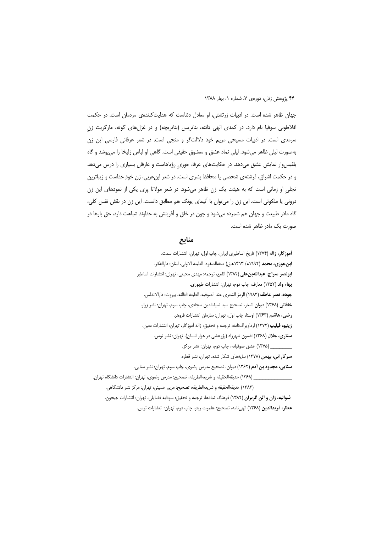جهان ظاهر شده است. در ادبیات زرتشتی، او معادل دئناست که هدایتکنندهی مردمان است. در حکمت افلاطونی سوفیا نام دارد. در کمدی الهی دانته، بئاتریس (بئاتریچه) و در غزلهای گوته، مارگریت زن سرمدی است. در ادبیات مسیحی مریم خود دلالتگر و منجی است. در شعر عرفانی فارسی این زن بهصورت لیلی ظاهر میشود. لیلی نماد عشق و معشوق حقیقی است. گاهی او لباس زلیخا را میپوشد و گاه بلقیس وار نمایش عشق می دهد. در حکایتهای عرفا، حوری رؤیاهاست و عارفان بسیاری را درس می دهد و در حکمت اشراق، فرشتهی شخصی یا محافظ بشری است. در شعر ابن عربی، زن خود خداست و زیباترین تجلی او زمانی است که به هیئت یک زن ظاهر میشود. در شعر مولانا پری یکی از نمودهای این زن درونی یا ملکوتی است. این زن را میتوان با آنیمای یونگ هم مطابق دانست. این زن در نقش نفس کلی، گاه مادر طبیعت و جهان هم شمرده میشود و چون در خلق و آفرینش به خداوند شباهت دارد، حق بارها در صورت یک مادر ظاهر شده است.

### منابع

أموزگار، ژاله (۱۳۷۴) تاریخ اساطیری ایران، چاپ اول، تهران: انتشارات سمت. ابن جوزي، محمد (١٩٩٢م/ ١۴١٣هـق) صفهالصفوه، الطبعه الاولى، لبنان: دارالفكر. **ابونصر سراج، عبداللهبن على (١٣٨٢)** اللمع، ترجمه: مهدى محبتي، تهران: انتشارات اساطير بهاء ولد (١٣٥٢) معارف، چاپ دوم، تهران: انتشارات طهوري. جوده، نصر عاطف (١٩٨٣) الرمز الشعرى عند الصوفيه، الطبعه الثالثه، بيروت: دارالاندلس. خاقانی (۱۳۶۸) دیوان اشعار، تصحیح سید ضیاءالدین سجادی، چاپ سوم، تهران: نشر زوار. رضي، هاشم (١٣۶٣) اوستا، چاپ اول، تهران: سازمان انتشارات فروهر. **ژينيو، فيليپ (١٣٧٢)** ارداويرافنامه، ترجمه و تحقيق: ژاله آموزگار، تهران: انتشارات معين. ستاری، جلال (۱۳۶۸) افسون شهرزاد (پژوهشی در هزار انسان)، تهران: نشر توس. (۱۳۷۵) عشق صوفیانه، چاپ دوم، تهران: نشر مرکز. سرکاراتی، بهمن (۱۳۷۸) سایههای شکار شده، تهران: نشر قطره. **سنایی، مجدود بن آدم** (۱۳۶۲) دیوان، تصحیح مدرس رضوی، چاپ سوم، تهران: نشر سنایی. \_ (١٣۶٨) حديقهالحقيقه و شريعهالطريقه، تصحيح: مدرس رضوى، تهران: انتشارات دانشگاه تهران. \_\_ (١٣٨٢) حديقه|لحقيقه و شريعه|لطريقه، تصحيح: مريم حسيني، تهران: مركز نشر دانشگاهي.

شواليه، ژان و آلن گربران (١٣٨٢) فرهنگ نمادها، ترجمه و تحقيق: سودابه فضايلي، تهران: انتشارات جيحون. عطار، فريدالدين (١٣۶٨) الهي نامه، تصحيح: هلموت ريتر، چاپ دوم، تهران: انتشارات توس.